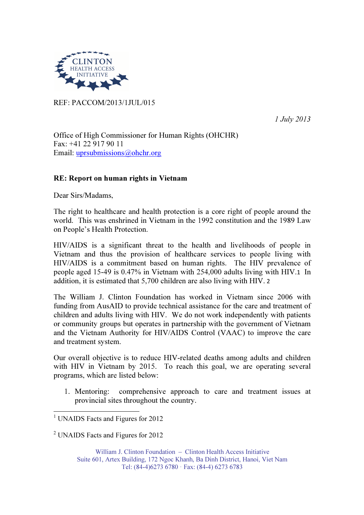

REF: PACCOM/2013/1JUL/015

1 July 2013

Office of High Commissioner for Human Rights (OHCHR) Fax: +41 22 917 90 11 Email: uprsubmissions@ohchr.org

## RE: Report on human rights in Vietnam

Dear Sirs/Madams,

The right to healthcare and health protection is a core right of people around the world. This was enshrined in Vietnam in the 1992 constitution and the 1989 Law on People's Health Protection.

HIV/AIDS is a significant threat to the health and livelihoods of people in Vietnam and thus the provision of healthcare services to people living with HIV/AIDS is a commitment based on human rights. The HIV prevalence of people aged 15-49 is 0.47% in Vietnam with 254,000 adults living with HIV.1 In addition, it is estimated that 5,700 children are also living with HIV. 2

The William J. Clinton Foundation has worked in Vietnam since 2006 with funding from AusAID to provide technical assistance for the care and treatment of children and adults living with HIV. We do not work independently with patients or community groups but operates in partnership with the government of Vietnam and the Vietnam Authority for HIV/AIDS Control (VAAC) to improve the care and treatment system.

Our overall objective is to reduce HIV-related deaths among adults and children with HIV in Vietnam by 2015. To reach this goal, we are operating several programs, which are listed below:

1. Mentoring: comprehensive approach to care and treatment issues at provincial sites throughout the country.

l,

<sup>2</sup> UNAIDS Facts and Figures for 2012

William J. Clinton Foundation – Clinton Health Access Initiative Suite 601, Artex Building, 172 Ngoc Khanh, Ba Dinh District, Hanoi, Viet Nam Tel: (84-4)6273 6780 · Fax: (84-4) 6273 6783

<sup>&</sup>lt;sup>1</sup> UNAIDS Facts and Figures for 2012